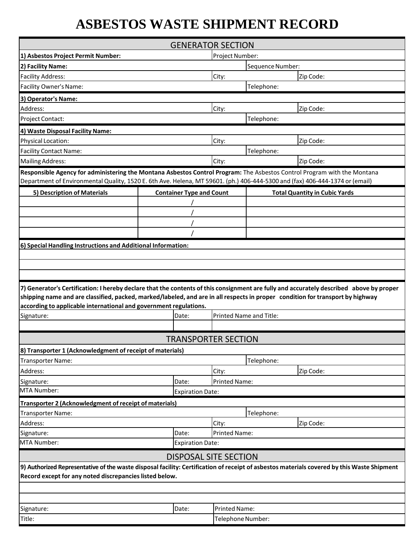## **ASBESTOS WASTE SHIPMENT RECORD**

| <b>GENERATOR SECTION</b>                                                                                                                                                                                                                                                                                                                       |                                 |                                |                      |                                      |  |
|------------------------------------------------------------------------------------------------------------------------------------------------------------------------------------------------------------------------------------------------------------------------------------------------------------------------------------------------|---------------------------------|--------------------------------|----------------------|--------------------------------------|--|
| 1) Asbestos Project Permit Number:                                                                                                                                                                                                                                                                                                             |                                 |                                | Project Number:      |                                      |  |
| 2) Facility Name:                                                                                                                                                                                                                                                                                                                              |                                 |                                | Sequence Number:     |                                      |  |
| <b>Facility Address:</b>                                                                                                                                                                                                                                                                                                                       |                                 | City:                          |                      | Zip Code:                            |  |
| Facility Owner's Name:                                                                                                                                                                                                                                                                                                                         |                                 |                                | Telephone:           |                                      |  |
| 3) Operator's Name:                                                                                                                                                                                                                                                                                                                            |                                 |                                |                      |                                      |  |
| Address:                                                                                                                                                                                                                                                                                                                                       |                                 | City:                          |                      | Zip Code:                            |  |
| Project Contact:                                                                                                                                                                                                                                                                                                                               |                                 |                                | Telephone:           |                                      |  |
| 4) Waste Disposal Facility Name:                                                                                                                                                                                                                                                                                                               |                                 |                                |                      |                                      |  |
| Physical Location:                                                                                                                                                                                                                                                                                                                             |                                 | City:                          |                      | Zip Code:                            |  |
| <b>Facility Contact Name:</b>                                                                                                                                                                                                                                                                                                                  |                                 |                                | Telephone:           |                                      |  |
| <b>Mailing Address:</b>                                                                                                                                                                                                                                                                                                                        |                                 | City:                          |                      | Zip Code:                            |  |
| Responsible Agency for administering the Montana Asbestos Control Program: The Asbestos Control Program with the Montana<br>Department of Environmental Quality, 1520 E. 6th Ave. Helena, MT 59601. (ph.) 406-444-5300 and (fax) 406-444-1374 or (email)                                                                                       |                                 |                                |                      |                                      |  |
| 5) Description of Materials                                                                                                                                                                                                                                                                                                                    | <b>Container Type and Count</b> |                                |                      | <b>Total Quantity in Cubic Yards</b> |  |
|                                                                                                                                                                                                                                                                                                                                                |                                 |                                |                      |                                      |  |
|                                                                                                                                                                                                                                                                                                                                                |                                 |                                |                      |                                      |  |
|                                                                                                                                                                                                                                                                                                                                                |                                 |                                |                      |                                      |  |
|                                                                                                                                                                                                                                                                                                                                                |                                 |                                |                      |                                      |  |
| 6) Special Handling Instructions and Additional Information:                                                                                                                                                                                                                                                                                   |                                 |                                |                      |                                      |  |
|                                                                                                                                                                                                                                                                                                                                                |                                 |                                |                      |                                      |  |
|                                                                                                                                                                                                                                                                                                                                                |                                 |                                |                      |                                      |  |
|                                                                                                                                                                                                                                                                                                                                                |                                 |                                |                      |                                      |  |
| 7) Generator's Certification: I hereby declare that the contents of this consignment are fully and accurately described above by proper<br>shipping name and are classified, packed, marked/labeled, and are in all respects in proper condition for transport by highway<br>according to applicable international and government regulations. |                                 |                                |                      |                                      |  |
| Signature:<br>Date:                                                                                                                                                                                                                                                                                                                            |                                 | <b>Printed Name and Title:</b> |                      |                                      |  |
|                                                                                                                                                                                                                                                                                                                                                |                                 |                                |                      |                                      |  |
|                                                                                                                                                                                                                                                                                                                                                | <b>TRANSPORTER SECTION</b>      |                                |                      |                                      |  |
| 8) Transporter 1 (Acknowledgment of receipt of materials)                                                                                                                                                                                                                                                                                      |                                 |                                |                      |                                      |  |
| Transporter Name:                                                                                                                                                                                                                                                                                                                              |                                 |                                | Telephone:           |                                      |  |
| Address:                                                                                                                                                                                                                                                                                                                                       |                                 | City:                          |                      | Zip Code:                            |  |
| Signature:                                                                                                                                                                                                                                                                                                                                     | Date:                           |                                | <b>Printed Name:</b> |                                      |  |
| MTA Number:                                                                                                                                                                                                                                                                                                                                    | <b>Expiration Date:</b>         |                                |                      |                                      |  |
| Transporter 2 (Acknowledgment of receipt of materials)                                                                                                                                                                                                                                                                                         |                                 |                                |                      |                                      |  |
| Telephone:<br>Transporter Name:                                                                                                                                                                                                                                                                                                                |                                 |                                |                      |                                      |  |
| Address:                                                                                                                                                                                                                                                                                                                                       |                                 | City:                          |                      | Zip Code:                            |  |
| Date:<br>Signature:                                                                                                                                                                                                                                                                                                                            |                                 | <b>Printed Name:</b>           |                      |                                      |  |
| MTA Number:                                                                                                                                                                                                                                                                                                                                    | <b>Expiration Date:</b>         |                                |                      |                                      |  |
|                                                                                                                                                                                                                                                                                                                                                | <b>DISPOSAL SITE SECTION</b>    |                                |                      |                                      |  |
| 9) Authorized Representative of the waste disposal facility: Certification of receipt of asbestos materials covered by this Waste Shipment<br>Record except for any noted discrepancies listed below.                                                                                                                                          |                                 |                                |                      |                                      |  |
|                                                                                                                                                                                                                                                                                                                                                |                                 |                                |                      |                                      |  |
|                                                                                                                                                                                                                                                                                                                                                |                                 |                                |                      |                                      |  |
| Signature:                                                                                                                                                                                                                                                                                                                                     | Date:                           | <b>Printed Name:</b>           |                      |                                      |  |
| Title:                                                                                                                                                                                                                                                                                                                                         |                                 |                                | Telephone Number:    |                                      |  |
|                                                                                                                                                                                                                                                                                                                                                |                                 |                                |                      |                                      |  |